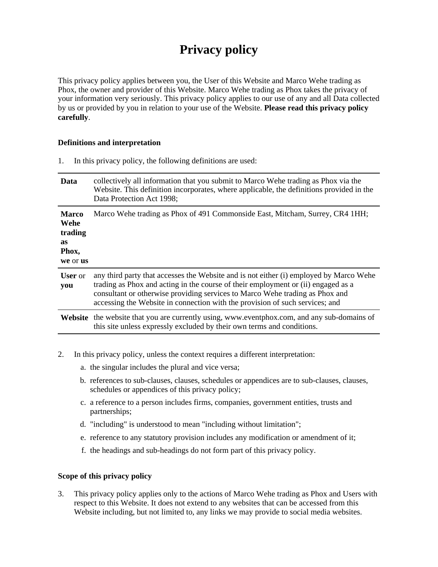# **Privacy policy**

This privacy policy applies between you, the User of this Website and Marco Wehe trading as Phox, the owner and provider of this Website. Marco Wehe trading as Phox takes the privacy of your information very seriously. This privacy policy applies to our use of any and all Data collected by us or provided by you in relation to your use of the Website. **Please read this privacy policy carefully**.

#### **Definitions and interpretation**

1. In this privacy policy, the following definitions are used:

| Data                                                              | collectively all information that you submit to Marco Wehe trading as Phox via the<br>Website. This definition incorporates, where applicable, the definitions provided in the<br>Data Protection Act 1998;                                                                                                                                 |
|-------------------------------------------------------------------|---------------------------------------------------------------------------------------------------------------------------------------------------------------------------------------------------------------------------------------------------------------------------------------------------------------------------------------------|
| <b>Marco</b><br>Wehe<br>trading<br><b>as</b><br>Phox,<br>we or us | Marco Wehe trading as Phox of 491 Commonside East, Mitcham, Surrey, CR4 1HH;                                                                                                                                                                                                                                                                |
| <b>User</b> or<br>you                                             | any third party that accesses the Website and is not either (i) employed by Marco Wehe<br>trading as Phox and acting in the course of their employment or (ii) engaged as a<br>consultant or otherwise providing services to Marco Wehe trading as Phox and<br>accessing the Website in connection with the provision of such services; and |
|                                                                   | <b>Website</b> the website that you are currently using, www.eventphox.com, and any sub-domains of<br>this site unless expressly excluded by their own terms and conditions.                                                                                                                                                                |

- 2. In this privacy policy, unless the context requires a different interpretation:
	- a. the singular includes the plural and vice versa;
	- b. references to sub-clauses, clauses, schedules or appendices are to sub-clauses, clauses, schedules or appendices of this privacy policy;
	- c. a reference to a person includes firms, companies, government entities, trusts and partnerships;
	- d. "including" is understood to mean "including without limitation";
	- e. reference to any statutory provision includes any modification or amendment of it;
	- f. the headings and sub-headings do not form part of this privacy policy.

## **Scope of this privacy policy**

3. This privacy policy applies only to the actions of Marco Wehe trading as Phox and Users with respect to this Website. It does not extend to any websites that can be accessed from this Website including, but not limited to, any links we may provide to social media websites.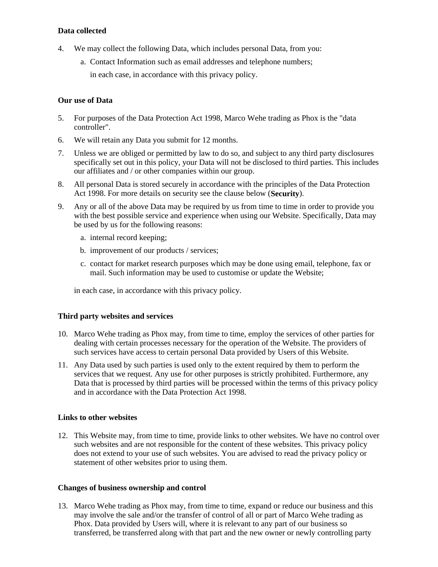## **Data collected**

- 4. We may collect the following Data, which includes personal Data, from you:
	- a. Contact Information such as email addresses and telephone numbers;

in each case, in accordance with this privacy policy.

## **Our use of Data**

- 5. For purposes of the Data Protection Act 1998, Marco Wehe trading as Phox is the "data controller".
- 6. We will retain any Data you submit for 12 months.
- 7. Unless we are obliged or permitted by law to do so, and subject to any third party disclosures specifically set out in this policy, your Data will not be disclosed to third parties. This includes our affiliates and / or other companies within our group.
- 8. All personal Data is stored securely in accordance with the principles of the Data Protection Act 1998. For more details on security see the clause below (**Security**).
- 9. Any or all of the above Data may be required by us from time to time in order to provide you with the best possible service and experience when using our Website. Specifically, Data may be used by us for the following reasons:
	- a. internal record keeping;
	- b. improvement of our products / services;
	- c. contact for market research purposes which may be done using email, telephone, fax or mail. Such information may be used to customise or update the Website;

in each case, in accordance with this privacy policy.

# **Third party websites and services**

- 10. Marco Wehe trading as Phox may, from time to time, employ the services of other parties for dealing with certain processes necessary for the operation of the Website. The providers of such services have access to certain personal Data provided by Users of this Website.
- 11. Any Data used by such parties is used only to the extent required by them to perform the services that we request. Any use for other purposes is strictly prohibited. Furthermore, any Data that is processed by third parties will be processed within the terms of this privacy policy and in accordance with the Data Protection Act 1998.

# **Links to other websites**

12. This Website may, from time to time, provide links to other websites. We have no control over such websites and are not responsible for the content of these websites. This privacy policy does not extend to your use of such websites. You are advised to read the privacy policy or statement of other websites prior to using them.

# **Changes of business ownership and control**

13. Marco Wehe trading as Phox may, from time to time, expand or reduce our business and this may involve the sale and/or the transfer of control of all or part of Marco Wehe trading as Phox. Data provided by Users will, where it is relevant to any part of our business so transferred, be transferred along with that part and the new owner or newly controlling party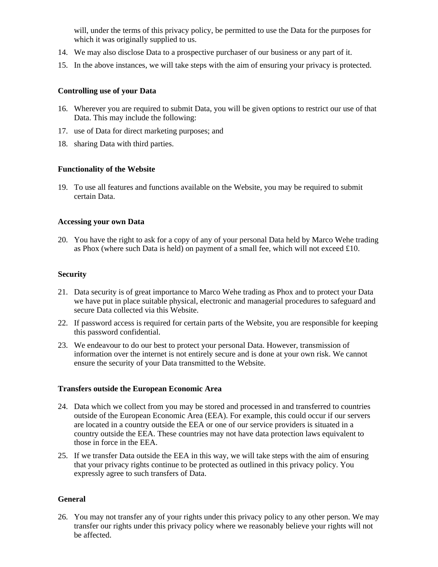will, under the terms of this privacy policy, be permitted to use the Data for the purposes for which it was originally supplied to us.

- 14. We may also disclose Data to a prospective purchaser of our business or any part of it.
- 15. In the above instances, we will take steps with the aim of ensuring your privacy is protected.

## **Controlling use of your Data**

- 16. Wherever you are required to submit Data, you will be given options to restrict our use of that Data. This may include the following:
- 17. use of Data for direct marketing purposes; and
- 18. sharing Data with third parties.

## **Functionality of the Website**

19. To use all features and functions available on the Website, you may be required to submit certain Data.

## **Accessing your own Data**

20. You have the right to ask for a copy of any of your personal Data held by Marco Wehe trading as Phox (where such Data is held) on payment of a small fee, which will not exceed  $\pounds 10$ .

## **Security**

- 21. Data security is of great importance to Marco Wehe trading as Phox and to protect your Data we have put in place suitable physical, electronic and managerial procedures to safeguard and secure Data collected via this Website.
- 22. If password access is required for certain parts of the Website, you are responsible for keeping this password confidential.
- 23. We endeavour to do our best to protect your personal Data. However, transmission of information over the internet is not entirely secure and is done at your own risk. We cannot ensure the security of your Data transmitted to the Website.

## **Transfers outside the European Economic Area**

- 24. Data which we collect from you may be stored and processed in and transferred to countries outside of the European Economic Area (EEA). For example, this could occur if our servers are located in a country outside the EEA or one of our service providers is situated in a country outside the EEA. These countries may not have data protection laws equivalent to those in force in the EEA.
- 25. If we transfer Data outside the EEA in this way, we will take steps with the aim of ensuring that your privacy rights continue to be protected as outlined in this privacy policy. You expressly agree to such transfers of Data.

## **General**

26. You may not transfer any of your rights under this privacy policy to any other person. We may transfer our rights under this privacy policy where we reasonably believe your rights will not be affected.